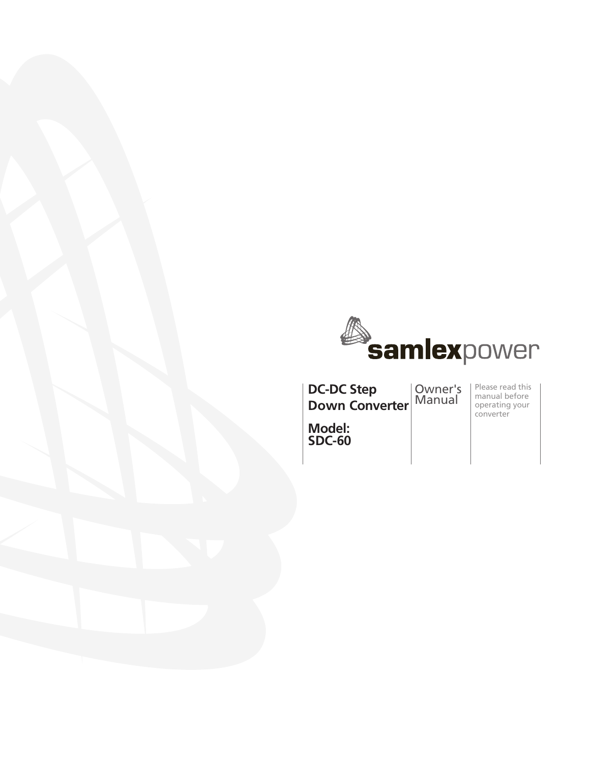

**DC-DC Step Down Converter**

Owner's Manual

Please read this manual before operating your converter

**Model: SDC-60**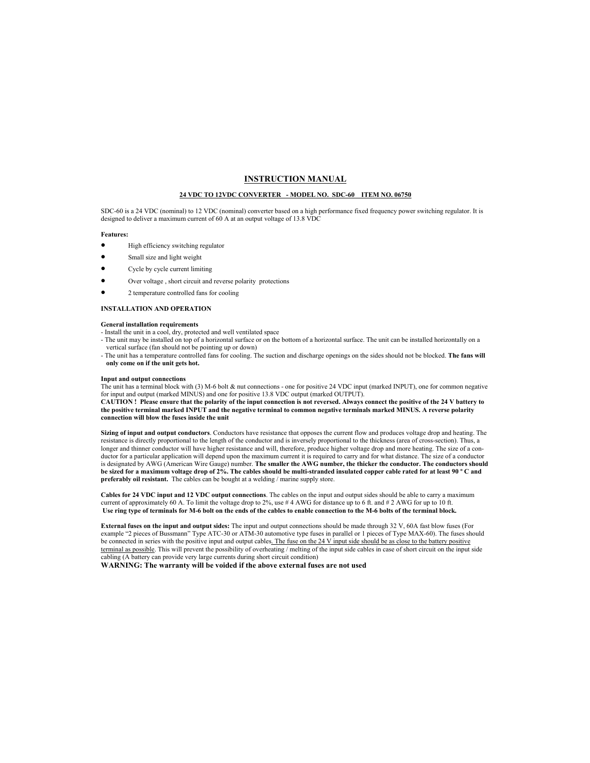### **INSTRUCTION MANUAL**

### **24 VDC TO 12VDC CONVERTER - MODEL NO. SDC-60 ITEM NO. 06750**

SDC-60 is a 24 VDC (nominal) to 12 VDC (nominal) converter based on a high performance fixed frequency power switching regulator. It is designed to deliver a maximum current of 60 A at an output voltage of 13.8 VDC

### **Features:**

- High efficiency switching regulator
- Small size and light weight
- Cycle by cycle current limiting
- Over voltage, short circuit and reverse polarity protections
- 2 temperature controlled fans for cooling

#### **INSTALLATION AND OPERATION**

### **General installation requirements**

- Install the unit in a cool, dry, protected and well ventilated space
- The unit may be installed on top of a horizontal surface or on the bottom of a horizontal surface. The unit can be installed horizontally on a vertical surface (fan should not be pointing up or down)
- The unit has a temperature controlled fans for cooling. The suction and discharge openings on the sides should not be blocked. **The fans will only come on if the unit gets hot.**

#### **Input and output connections**

The unit has a terminal block with (3) M-6 bolt & nut connections - one for positive 24 VDC input (marked INPUT), one for common negative for input and output (marked MINUS) and one for positive 13.8 VDC output (marked OUTPUT).

**CAUTION ! Please ensure that the polarity of the input connection is not reversed. Always connect the positive of the 24 V battery to the positive terminal marked INPUT and the negative terminal to common negative terminals marked MINUS. A reverse polarity connection will blow the fuses inside the unit** 

**Sizing of input and output conductors**. Conductors have resistance that opposes the current flow and produces voltage drop and heating. The resistance is directly proportional to the length of the conductor and is inversely proportional to the thickness (area of cross-section). Thus, a longer and thinner conductor will have higher resistance and will, therefore, produce higher voltage drop and more heating. The size of a conductor for a particular application will depend upon the maximum current it is required to carry and for what distance. The size of a conductor is designated by AWG (American Wire Gauge) number. **The smaller the AWG number, the thicker the conductor. The conductors should be sized for a maximum voltage drop of 2%. The cables should be multi-stranded insulated copper cable rated for at least 90 º C and preferably oil resistant.** The cables can be bought at a welding / marine supply store.

**Cables for 24 VDC input and 12 VDC output connections**. The cables on the input and output sides should be able to carry a maximum current of approximately 60 A. To limit the voltage drop to 2%, use # 4 AWG for distance up to 6 ft. and # 2 AWG for up to 10 ft. **Use ring type of terminals for M-6 bolt on the ends of the cables to enable connection to the M-6 bolts of the terminal block.** 

**External fuses on the input and output sides:** The input and output connections should be made through 32 V, 60A fast blow fuses (For example "2 pieces of Bussmann" Type ATC-30 or ATM-30 automotive type fuses in parallel or 1 pieces of Type MAX-60). The fuses should be connected in series with the positive input and output cables. The fuse on the 24 V input side should be as close to the battery positive terminal as possible. This will prevent the possibility of overheating / melting of the input side cables in case of short circuit on the input side cabling (A battery can provide very large currents during short circuit condition)

**WARNING: The warranty will be voided if the above external fuses are not used**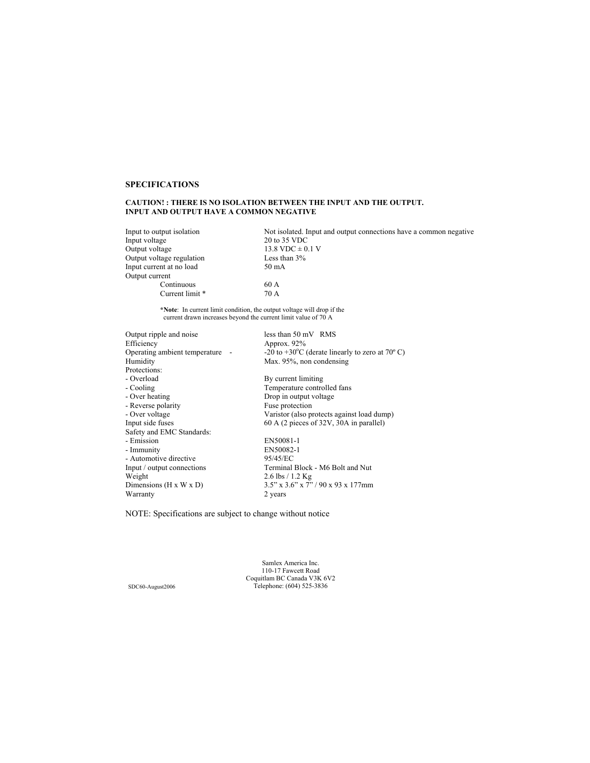## **SPECIFICATIONS**

# **CAUTION! : THERE IS NO ISOLATION BETWEEN THE INPUT AND THE OUTPUT. INPUT AND OUTPUT HAVE A COMMON NEGATIVE**

Input voltage  $20 \text{ to } 35 \text{ VDC}$ <br>Output voltage  $13.8 \text{ VDC} \pm 0.$ Output voltage regulation Input current at no load 50 mA Output current Continuous 60 A<br>Current limit \* 70 A Current limit \*

Input to output isolation Not isolated. Input and output connections have a common negative Input voltage 20 to 35 VDC 13.8 VDC  $\pm$  0.1 V<br>Less than 3%

**\*Note**: In current limit condition, the output voltage will drop if the current drawn increases beyond the current limit value of 70 A

| Output ripple and noise              | less than $50 \text{ mV}$ RMS                                        |
|--------------------------------------|----------------------------------------------------------------------|
| Efficiency                           | Approx. $92\%$                                                       |
| Operating ambient temperature -      | -20 to +30 $^{\circ}$ C (derate linearly to zero at 70 $^{\circ}$ C) |
| Humidity                             | Max. 95%, non condensing                                             |
| Protections:                         |                                                                      |
| - Overload                           | By current limiting                                                  |
| - Cooling                            | Temperature controlled fans                                          |
| - Over heating                       | Drop in output voltage                                               |
| - Reverse polarity                   | Fuse protection                                                      |
| - Over voltage                       | Varistor (also protects against load dump)                           |
| Input side fuses                     | 60 A (2 pieces of 32V, 30A in parallel)                              |
| Safety and EMC Standards:            |                                                                      |
| - Emission                           | EN50081-1                                                            |
| - Immunity                           | EN50082-1                                                            |
| - Automotive directive               | 95/45/EC                                                             |
| Input / output connections           | Terminal Block - M6 Bolt and Nut                                     |
| Weight                               | $2.6$ lbs $/ 1.2$ Kg                                                 |
| Dimensions ( $H \times W \times D$ ) | 3.5" x 3.6" x 7" / 90 x 93 x 177mm                                   |
| Warranty                             | 2 years                                                              |

NOTE: Specifications are subject to change without notice

Samlex America Inc. 110-17 Fawcett Road Coquitlam BC Canada V3K 6V2 SDC60-August2006 Telephone: (604) 525-3836